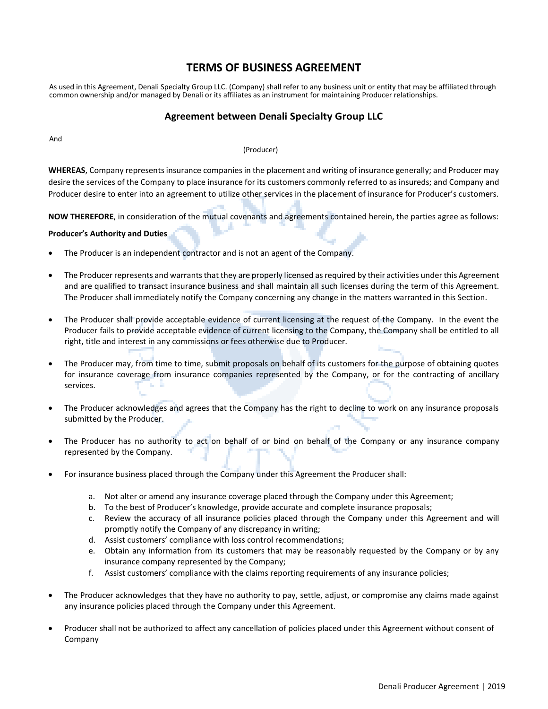# **TERMS OF BUSINESS AGREEMENT**

As used in this Agreement, Denali Specialty Group LLC. (Company) shall refer to any business unit or entity that may be affiliated through common ownership and/or managed by Denali or its affiliates as an instrument for maintaining Producer relationships.

# **Agreement between Denali Specialty Group LLC**

And

#### (Producer)

**WHEREAS**, Company represents insurance companies in the placement and writing of insurance generally; and Producer may desire the services of the Company to place insurance for its customers commonly referred to as insureds; and Company and Producer desire to enter into an agreement to utilize other services in the placement of insurance for Producer's customers.

**NOW THEREFORE**, in consideration of the mutual covenants and agreements contained herein, the parties agree as follows:

# **Producer's Authority and Duties**

- The Producer is an independent contractor and is not an agent of the Company.
- The Producer represents and warrants that they are properly licensed as required by their activities under this Agreement and are qualified to transact insurance business and shall maintain all such licenses during the term of this Agreement. The Producer shall immediately notify the Company concerning any change in the matters warranted in this Section.
- The Producer shall provide acceptable evidence of current licensing at the request of the Company. In the event the Producer fails to provide acceptable evidence of current licensing to the Company, the Company shall be entitled to all right, title and interest in any commissions or fees otherwise due to Producer.
- The Producer may, from time to time, submit proposals on behalf of its customers for the purpose of obtaining quotes for insurance coverage from insurance companies represented by the Company, or for the contracting of ancillary services.
- The Producer acknowledges and agrees that the Company has the right to decline to work on any insurance proposals submitted by the Producer.
- The Producer has no authority to act on behalf of or bind on behalf of the Company or any insurance company represented by the Company.
- For insurance business placed through the Company under this Agreement the Producer shall:
	- a. Not alter or amend any insurance coverage placed through the Company under this Agreement;
	- b. To the best of Producer's knowledge, provide accurate and complete insurance proposals;
	- c. Review the accuracy of all insurance policies placed through the Company under this Agreement and will promptly notify the Company of any discrepancy in writing;
	- d. Assist customers' compliance with loss control recommendations;
	- e. Obtain any information from its customers that may be reasonably requested by the Company or by any insurance company represented by the Company;
	- f. Assist customers' compliance with the claims reporting requirements of any insurance policies;
- The Producer acknowledges that they have no authority to pay, settle, adjust, or compromise any claims made against any insurance policies placed through the Company under this Agreement.
- Producer shall not be authorized to affect any cancellation of policies placed under this Agreement without consent of Company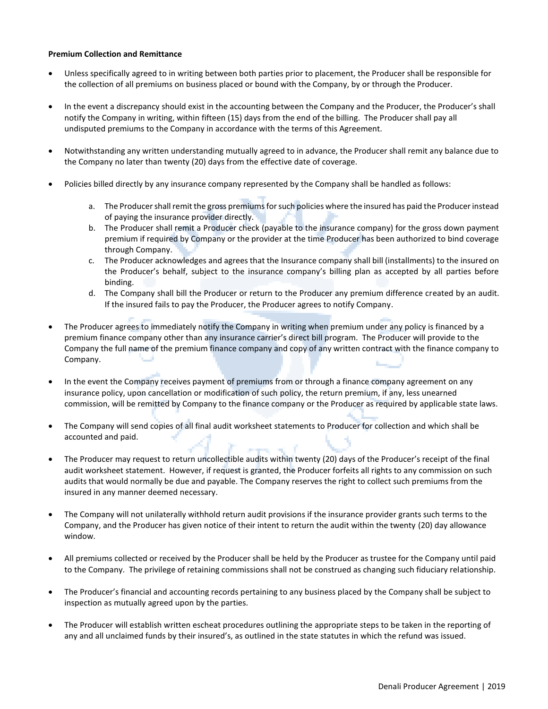# **Premium Collection and Remittance**

- Unless specifically agreed to in writing between both parties prior to placement, the Producer shall be responsible for the collection of all premiums on business placed or bound with the Company, by or through the Producer.
- In the event a discrepancy should exist in the accounting between the Company and the Producer, the Producer's shall notify the Company in writing, within fifteen (15) days from the end of the billing. The Producer shall pay all undisputed premiums to the Company in accordance with the terms of this Agreement.
- Notwithstanding any written understanding mutually agreed to in advance, the Producer shall remit any balance due to the Company no later than twenty (20) days from the effective date of coverage.
- Policies billed directly by any insurance company represented by the Company shall be handled as follows:
	- a. The Producer shall remit the gross premiums for such policies where the insured has paid the Producer instead of paying the insurance provider directly.
	- b. The Producer shall remit a Producer check (payable to the insurance company) for the gross down payment premium if required by Company or the provider at the time Producer has been authorized to bind coverage through Company.
	- c. The Producer acknowledges and agrees that the Insurance company shall bill (installments) to the insured on the Producer's behalf, subject to the insurance company's billing plan as accepted by all parties before binding.
	- d. The Company shall bill the Producer or return to the Producer any premium difference created by an audit. If the insured fails to pay the Producer, the Producer agrees to notify Company.
- The Producer agrees to immediately notify the Company in writing when premium under any policy is financed by a premium finance company other than any insurance carrier's direct bill program. The Producer will provide to the Company the full name of the premium finance company and copy of any written contract with the finance company to Company.
- In the event the Company receives payment of premiums from or through a finance company agreement on any insurance policy, upon cancellation or modification of such policy, the return premium, if any, less unearned commission, will be remitted by Company to the finance company or the Producer as required by applicable state laws.
- The Company will send copies of all final audit worksheet statements to Producer for collection and which shall be accounted and paid.
- The Producer may request to return uncollectible audits within twenty (20) days of the Producer's receipt of the final audit worksheet statement. However, if request is granted, the Producer forfeits all rights to any commission on such audits that would normally be due and payable. The Company reserves the right to collect such premiums from the insured in any manner deemed necessary.
- The Company will not unilaterally withhold return audit provisions if the insurance provider grants such terms to the Company, and the Producer has given notice of their intent to return the audit within the twenty (20) day allowance window.
- All premiums collected or received by the Producer shall be held by the Producer as trustee for the Company until paid to the Company. The privilege of retaining commissions shall not be construed as changing such fiduciary relationship.
- The Producer's financial and accounting records pertaining to any business placed by the Company shall be subject to inspection as mutually agreed upon by the parties.
- The Producer will establish written escheat procedures outlining the appropriate steps to be taken in the reporting of any and all unclaimed funds by their insured's, as outlined in the state statutes in which the refund was issued.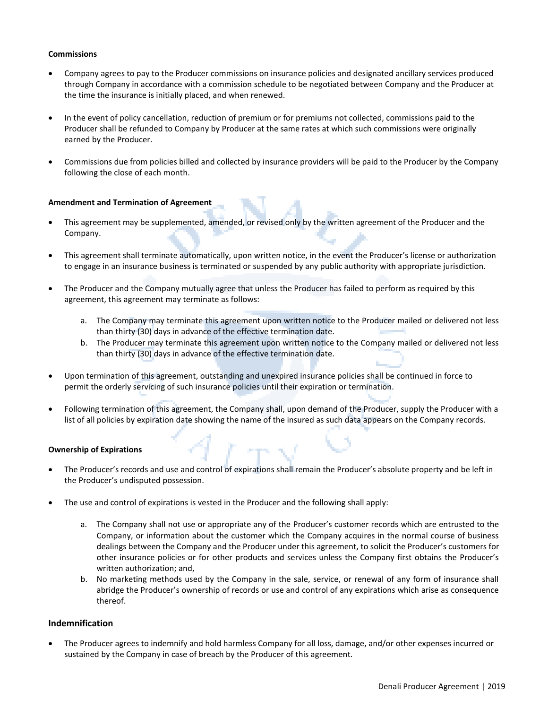# **Commissions**

- Company agrees to pay to the Producer commissions on insurance policies and designated ancillary services produced through Company in accordance with a commission schedule to be negotiated between Company and the Producer at the time the insurance is initially placed, and when renewed.
- In the event of policy cancellation, reduction of premium or for premiums not collected, commissions paid to the Producer shall be refunded to Company by Producer at the same rates at which such commissions were originally earned by the Producer.
- Commissions due from policies billed and collected by insurance providers will be paid to the Producer by the Company following the close of each month.

#### **Amendment and Termination of Agreement**

- This agreement may be supplemented, amended, or revised only by the written agreement of the Producer and the Company.
- This agreement shall terminate automatically, upon written notice, in the event the Producer's license or authorization to engage in an insurance business is terminated or suspended by any public authority with appropriate jurisdiction.
- The Producer and the Company mutually agree that unless the Producer has failed to perform as required by this agreement, this agreement may terminate as follows:
	- a. The Company may terminate this agreement upon written notice to the Producer mailed or delivered not less than thirty (30) days in advance of the effective termination date.
	- b. The Producer may terminate this agreement upon written notice to the Company mailed or delivered not less than thirty (30) days in advance of the effective termination date.
- Upon termination of this agreement, outstanding and unexpired insurance policies shall be continued in force to permit the orderly servicing of such insurance policies until their expiration or termination.
- Following termination of this agreement, the Company shall, upon demand of the Producer, supply the Producer with a list of all policies by expiration date showing the name of the insured as such data appears on the Company records.

#### **Ownership of Expirations**

- The Producer's records and use and control of expirations shall remain the Producer's absolute property and be left in the Producer's undisputed possession.
- The use and control of expirations is vested in the Producer and the following shall apply:
	- a. The Company shall not use or appropriate any of the Producer's customer records which are entrusted to the Company, or information about the customer which the Company acquires in the normal course of business dealings between the Company and the Producer under this agreement, to solicit the Producer's customers for other insurance policies or for other products and services unless the Company first obtains the Producer's written authorization; and,
	- b. No marketing methods used by the Company in the sale, service, or renewal of any form of insurance shall abridge the Producer's ownership of records or use and control of any expirations which arise as consequence thereof.

# **Indemnification**

• The Producer agrees to indemnify and hold harmless Company for all loss, damage, and/or other expenses incurred or sustained by the Company in case of breach by the Producer of this agreement.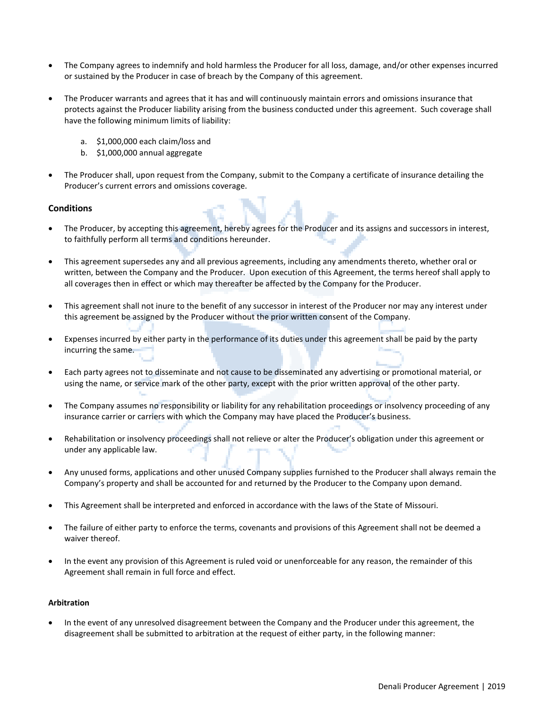- The Company agrees to indemnify and hold harmless the Producer for all loss, damage, and/or other expenses incurred or sustained by the Producer in case of breach by the Company of this agreement.
- The Producer warrants and agrees that it has and will continuously maintain errors and omissions insurance that protects against the Producer liability arising from the business conducted under this agreement. Such coverage shall have the following minimum limits of liability:
	- a. \$1,000,000 each claim/loss and
	- b. \$1,000,000 annual aggregate
- The Producer shall, upon request from the Company, submit to the Company a certificate of insurance detailing the Producer's current errors and omissions coverage.

# **Conditions**

- The Producer, by accepting this agreement, hereby agrees for the Producer and its assigns and successors in interest, to faithfully perform all terms and conditions hereunder.
- This agreement supersedes any and all previous agreements, including any amendments thereto, whether oral or written, between the Company and the Producer. Upon execution of this Agreement, the terms hereof shall apply to all coverages then in effect or which may thereafter be affected by the Company for the Producer.
- This agreement shall not inure to the benefit of any successor in interest of the Producer nor may any interest under this agreement be assigned by the Producer without the prior written consent of the Company.
- Expenses incurred by either party in the performance of its duties under this agreement shall be paid by the party incurring the same.
- Each party agrees not to disseminate and not cause to be disseminated any advertising or promotional material, or using the name, or service mark of the other party, except with the prior written approval of the other party.
- The Company assumes no responsibility or liability for any rehabilitation proceedings or insolvency proceeding of any insurance carrier or carriers with which the Company may have placed the Producer's business.
- Rehabilitation or insolvency proceedings shall not relieve or alter the Producer's obligation under this agreement or under any applicable law.
- Any unused forms, applications and other unused Company supplies furnished to the Producer shall always remain the Company's property and shall be accounted for and returned by the Producer to the Company upon demand.
- This Agreement shall be interpreted and enforced in accordance with the laws of the State of Missouri.
- The failure of either party to enforce the terms, covenants and provisions of this Agreement shall not be deemed a waiver thereof.
- In the event any provision of this Agreement is ruled void or unenforceable for any reason, the remainder of this Agreement shall remain in full force and effect.

#### **Arbitration**

• In the event of any unresolved disagreement between the Company and the Producer under this agreement, the disagreement shall be submitted to arbitration at the request of either party, in the following manner: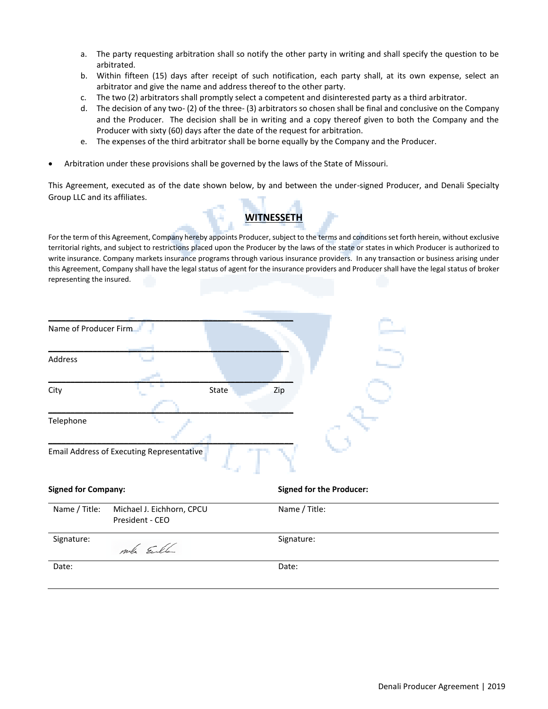- a. The party requesting arbitration shall so notify the other party in writing and shall specify the question to be arbitrated.
- b. Within fifteen (15) days after receipt of such notification, each party shall, at its own expense, select an arbitrator and give the name and address thereof to the other party.
- c. The two (2) arbitrators shall promptly select a competent and disinterested party as a third arbitrator.
- d. The decision of any two- (2) of the three- (3) arbitrators so chosen shall be final and conclusive on the Company and the Producer. The decision shall be in writing and a copy thereof given to both the Company and the Producer with sixty (60) days after the date of the request for arbitration.
- e. The expenses of the third arbitrator shall be borne equally by the Company and the Producer.
- Arbitration under these provisions shall be governed by the laws of the State of Missouri.

This Agreement, executed as of the date shown below, by and between the under-signed Producer, and Denali Specialty Group LLC and its affiliates.



For the term of this Agreement, Company hereby appoints Producer, subject to the terms and conditions set forth herein, without exclusive territorial rights, and subject to restrictions placed upon the Producer by the laws of the state or states in which Producer is authorized to write insurance. Company markets insurance programs through various insurance providers. In any transaction or business arising under this Agreement, Company shall have the legal status of agent for the insurance providers and Producer shall have the legal status of broker representing the insured.

| Name of Producer Firm      |                                                  |                                 |
|----------------------------|--------------------------------------------------|---------------------------------|
| Address                    |                                                  |                                 |
| City                       |                                                  | State<br>Zip                    |
| Telephone                  |                                                  |                                 |
|                            | <b>Email Address of Executing Representative</b> |                                 |
| <b>Signed for Company:</b> |                                                  | <b>Signed for the Producer:</b> |
| Name / Title:              | Michael J. Eichhorn, CPCU<br>President - CEO     | Name / Title:                   |
| Signature:                 | mb Eule                                          | Signature:                      |
| Date:                      |                                                  | Date:                           |